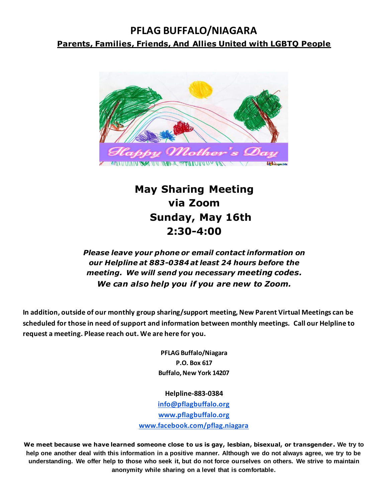# **PFLAG BUFFALO/NIAGARA Parents, Families, Friends, And Allies United with LGBTQ People**



# **May Sharing Meeting via Zoom Sunday, May 16th 2:30-4:00**

### *Please leave your phone or email contact information on our Helpline at 883-0384 at least 24 hours before the meeting. We will send you necessary meeting codes. We can also help you if you are new to Zoom.*

**In addition, outside of our monthly group sharing/support meeting, New Parent Virtual Meetings can be scheduled for those in need of support and information between monthly meetings. Call our Helpline to request a meeting. Please reach out. We are here for you.**

> **PFLAG Buffalo/Niagara P.O. Box 617 Buffalo, New York 14207**

**Helpline-883-0384 [info@pflagbuffalo.org](mailto:info@pflagbuffalo.org) [www.pflagbuffalo.org](http://www.pflagbuffalo.org/) [www.facebook.com/pflag.niagara](http://www.facebook.com/pflag.niagara)**

**We meet because we have learned someone close to us is gay, lesbian, bisexual, or transgender. We try to help one another deal with this information in a positive manner. Although we do not always agree, we try to be understanding. We offer help to those who seek it, but do not force ourselves on others. We strive to maintain anonymity while sharing on a level that is comfortable.**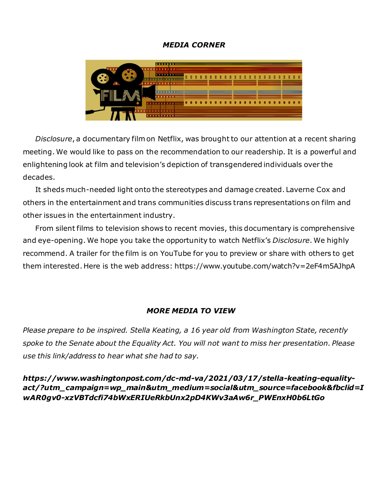#### *MEDIA CORNER*



 *Disclosure*, a documentary film on Netflix, was brought to our attention at a recent sharing meeting. We would like to pass on the recommendation to our readership. It is a powerful and enlightening look at film and television's depiction of transgendered individuals over the decades.

 It sheds much-needed light onto the stereotypes and damage created. Laverne Cox and others in the entertainment and trans communities discuss trans representations on film and other issues in the entertainment industry.

 From silent films to television shows to recent movies, this documentary is comprehensive and eye-opening. We hope you take the opportunity to watch Netflix's *Disclosure*. We highly recommend. A trailer for the film is on YouTube for you to preview or share with others to get them interested. Here is the web address: https://www.youtube.com/watch?v=2eF4m5AJhpA

#### *MORE MEDIA TO VIEW*

*Please prepare to be inspired. Stella Keating, a 16 year old from Washington State, recently spoke to the Senate about the Equality Act. You will not want to miss her presentation. Please use this link/address to hear what she had to say.* 

*https://www.washingtonpost.com/dc-md-va/2021/03/17/stella-keating-equalityact/?utm\_campaign=wp\_main&utm\_medium=social&utm\_source=facebook&fbclid=I wAR0gv0-xzVBTdcfi74bWxERIUeRkbUnx2pD4KWv3aAw6r\_PWEnxH0b6LtGo*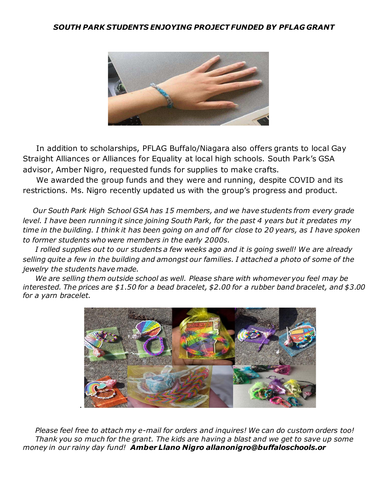#### *SOUTH PARK STUDENTS ENJOYING PROJECT FUNDED BY PFLAG GRANT*



 In addition to scholarships, PFLAG Buffalo/Niagara also offers grants to local Gay Straight Alliances or Alliances for Equality at local high schools. South Park's GSA advisor, Amber Nigro, requested funds for supplies to make crafts.

 We awarded the group funds and they were and running, despite COVID and its restrictions. Ms. Nigro recently updated us with the group's progress and product.

 *Our South Park High School GSA has 15 members, and we have students from every grade level. I have been running it since joining South Park, for the past 4 years but it predates my time in the building. I think it has been going on and off for close to 20 years, as I have spoken to former students who were members in the early 2000s.*

 *I rolled supplies out to our students a few weeks ago and it is going swell! We are already selling quite a few in the building and amongst our families. I attached a photo of some of the jewelry the students have made.*

 *We are selling them outside school as well. Please share with whomever you feel may be interested. The prices are \$1.50 for a bead bracelet, \$2.00 for a rubber band bracelet, and \$3.00 for a yarn bracelet.*



 *Please feel free to attach my e-mail for orders and inquires! We can do custom orders too!* Thank you so much for the grant. The kids are having a blast and we get to save up some *money in our rainy day fund! Amber Llano Nigro allanonigro@buffaloschools.or*